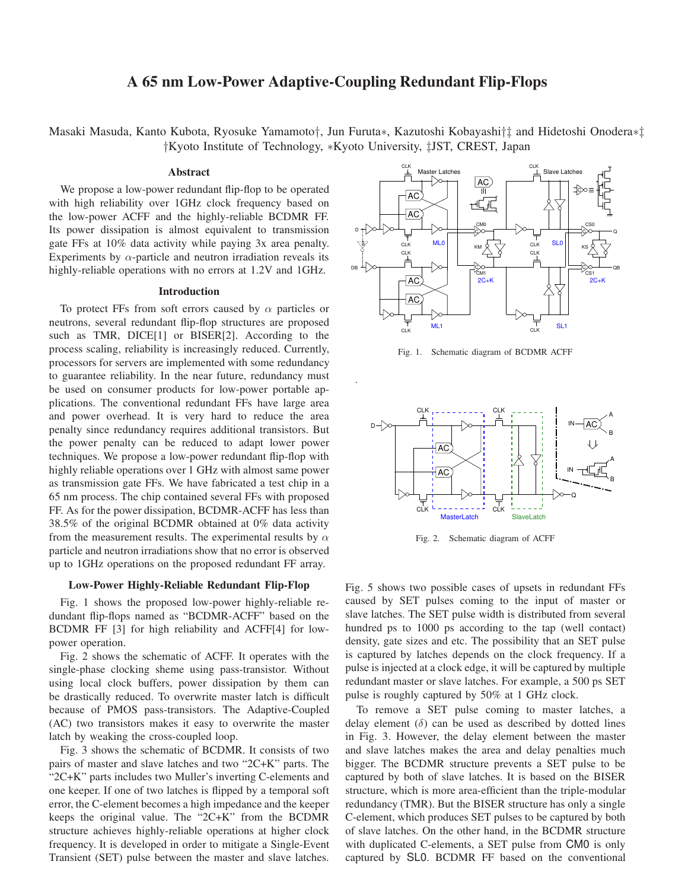# **A 65 nm Low-Power Adaptive-Coupling Redundant Flip-Flops**

Masaki Masuda, Kanto Kubota, Ryosuke Yamamoto†, Jun Furuta∗, Kazutoshi Kobayashi†‡ and Hidetoshi Onodera∗‡ †Kyoto Institute of Technology, ∗Kyoto University, ‡JST, CREST, Japan

# **Abstract**

We propose a low-power redundant flip-flop to be operated with high reliability over 1GHz clock frequency based on the low-power ACFF and the highly-reliable BCDMR FF. Its power dissipation is almost equivalent to transmission gate FFs at 10% data activity while paying 3x area penalty. Experiments by  $\alpha$ -particle and neutron irradiation reveals its highly-reliable operations with no errors at 1.2V and 1GHz.

## **Introduction**

To protect FFs from soft errors caused by  $\alpha$  particles or neutrons, several redundant flip-flop structures are proposed such as TMR, DICE[1] or BISER[2]. According to the process scaling, reliability is increasingly reduced. Currently, processors for servers are implemented with some redundancy to guarantee reliability. In the near future, redundancy must be used on consumer products for low-power portable applications. The conventional redundant FFs have large area and power overhead. It is very hard to reduce the area penalty since redundancy requires additional transistors. But the power penalty can be reduced to adapt lower power techniques. We propose a low-power redundant flip-flop with highly reliable operations over 1 GHz with almost same power as transmission gate FFs. We have fabricated a test chip in a 65 nm process. The chip contained several FFs with proposed FF. As for the power dissipation, BCDMR-ACFF has less than 38.5% of the original BCDMR obtained at 0% data activity from the measurement results. The experimental results by  $\alpha$ particle and neutron irradiations show that no error is observed up to 1GHz operations on the proposed redundant FF array.

#### **Low-Power Highly-Reliable Redundant Flip-Flop**

Fig. 1 shows the proposed low-power highly-reliable redundant flip-flops named as "BCDMR-ACFF" based on the BCDMR FF [3] for high reliability and ACFF[4] for lowpower operation.

Fig. 2 shows the schematic of ACFF. It operates with the single-phase clocking sheme using pass-transistor. Without using local clock buffers, power dissipation by them can be drastically reduced. To overwrite master latch is difficult because of PMOS pass-transistors. The Adaptive-Coupled (AC) two transistors makes it easy to overwrite the master latch by weaking the cross-coupled loop.

Fig. 3 shows the schematic of BCDMR. It consists of two pairs of master and slave latches and two "2C+K" parts. The "2C+K" parts includes two Muller's inverting C-elements and one keeper. If one of two latches is flipped by a temporal soft error, the C-element becomes a high impedance and the keeper keeps the original value. The "2C+K" from the BCDMR structure achieves highly-reliable operations at higher clock frequency. It is developed in order to mitigate a Single-Event Transient (SET) pulse between the master and slave latches.



Fig. 1. Schematic diagram of BCDMR ACFF





Fig. 5 shows two possible cases of upsets in redundant FFs caused by SET pulses coming to the input of master or slave latches. The SET pulse width is distributed from several hundred ps to 1000 ps according to the tap (well contact) density, gate sizes and etc. The possibility that an SET pulse is captured by latches depends on the clock frequency. If a pulse is injected at a clock edge, it will be captured by multiple redundant master or slave latches. For example, a 500 ps SET pulse is roughly captured by 50% at 1 GHz clock.

To remove a SET pulse coming to master latches, a delay element  $(\delta)$  can be used as described by dotted lines in Fig. 3. However, the delay element between the master and slave latches makes the area and delay penalties much bigger. The BCDMR structure prevents a SET pulse to be captured by both of slave latches. It is based on the BISER structure, which is more area-efficient than the triple-modular redundancy (TMR). But the BISER structure has only a single C-element, which produces SET pulses to be captured by both of slave latches. On the other hand, in the BCDMR structure with duplicated C-elements, a SET pulse from CM0 is only captured by SL0. BCDMR FF based on the conventional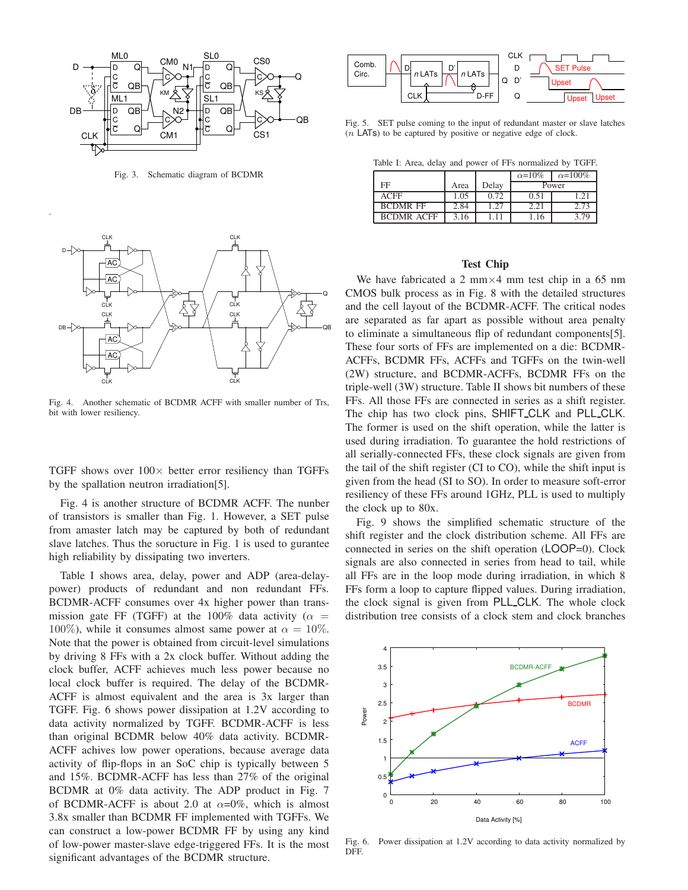

Fig. 3. Schematic diagram of BCDMR



Fig. 4. Another schematic of BCDMR ACFF with smaller number of Trs, bit with lower resiliency.

TGFF shows over  $100\times$  better error resiliency than TGFFs by the spallation neutron irradiation[5].

Fig. 4 is another structure of BCDMR ACFF. The nunber of transistors is smaller than Fig. 1. However, a SET pulse from amaster latch may be captured by both of redundant slave latches. Thus the soructure in Fig. 1 is used to gurantee high reliability by dissipating two inverters.

Table I shows area, delay, power and ADP (area-delaypower) products of redundant and non redundant FFs. BCDMR-ACFF consumes over 4x higher power than transmission gate FF (TGFF) at the 100% data activity ( $\alpha$  = 100%), while it consumes almost same power at  $\alpha = 10\%$ . Note that the power is obtained from circuit-level simulations by driving 8 FFs with a 2x clock buffer. Without adding the clock buffer, ACFF achieves much less power because no local clock buffer is required. The delay of the BCDMR-ACFF is almost equivalent and the area is 3x larger than TGFF. Fig. 6 shows power dissipation at 1.2V according to data activity normalized by TGFF. BCDMR-ACFF is less than original BCDMR below 40% data activity. BCDMR-ACFF achives low power operations, because average data activity of flip-flops in an SoC chip is typically between 5 and 15%. BCDMR-ACFF has less than 27% of the original BCDMR at 0% data activity. The ADP product in Fig. 7 of BCDMR-ACFF is about 2.0 at  $\alpha=0\%$ , which is almost 3.8x smaller than BCDMR FF implemented with TGFFs. We can construct a low-power BCDMR FF by using any kind of low-power master-slave edge-triggered FFs. It is the most significant advantages of the BCDMR structure.



Fig. 5. SET pulse coming to the input of redundant master or slave latches  $(n$  LATs) to be captured by positive or negative edge of clock.

Table I: Area, delay and power of FFs normalized by TGFF.

|                   |      |       | $\alpha=10\%$ | $\alpha = 100\%$ |
|-------------------|------|-------|---------------|------------------|
| FF                | Area | Delay | Power         |                  |
| <b>ACFF</b>       | .05  | 0.72  | 0.51          | $\gamma$ 1       |
| <b>BCDMR FF</b>   | 2.84 | 1.27  | $2.2^{\circ}$ | 2 73             |
| <b>BCDMR ACFF</b> |      |       |               | - 7 Q            |

# **Test Chip**

We have fabricated a 2 mm $\times$ 4 mm test chip in a 65 nm CMOS bulk process as in Fig. 8 with the detailed structures and the cell layout of the BCDMR-ACFF. The critical nodes are separated as far apart as possible without area penalty to eliminate a simultaneous flip of redundant components[5]. These four sorts of FFs are implemented on a die: BCDMR-ACFFs, BCDMR FFs, ACFFs and TGFFs on the twin-well (2W) structure, and BCDMR-ACFFs, BCDMR FFs on the triple-well (3W) structure. Table II shows bit numbers of these FFs. All those FFs are connected in series as a shift register. The chip has two clock pins, SHIFT CLK and PLL CLK. The former is used on the shift operation, while the latter is used during irradiation. To guarantee the hold restrictions of all serially-connected FFs, these clock signals are given from the tail of the shift register (CI to CO), while the shift input is given from the head (SI to SO). In order to measure soft-error resiliency of these FFs around 1GHz, PLL is used to multiply the clock up to 80x.

Fig. 9 shows the simplified schematic structure of the shift register and the clock distribution scheme. All FFs are connected in series on the shift operation (LOOP=0). Clock signals are also connected in series from head to tail, while all FFs are in the loop mode during irradiation, in which 8 FFs form a loop to capture flipped values. During irradiation, the clock signal is given from PLL CLK. The whole clock distribution tree consists of a clock stem and clock branches



Fig. 6. Power dissipation at 1.2V according to data activity normalized by DFF.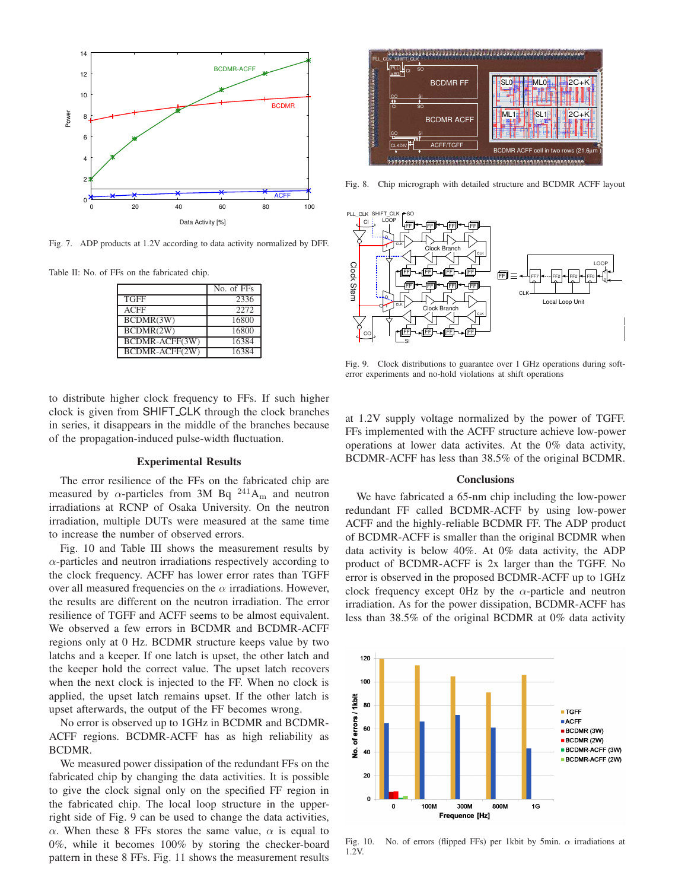

Fig. 7. ADP products at 1.2V according to data activity normalized by DFF.

Table II: No. of FFs on the fabricated chip.

|                | No. of FFs |
|----------------|------------|
| <b>TGFF</b>    | 2336       |
| <b>ACFF</b>    | 2272       |
| BCDMR(3W)      | 16800      |
| BCDMR(2W)      | 16800      |
| BCDMR-ACFF(3W) | 16384      |
| BCDMR-ACFF(2W) | 16384      |



Fig. 8. Chip micrograph with detailed structure and BCDMR ACFF layout



Fig. 9. Clock distributions to guarantee over 1 GHz operations during softerror experiments and no-hold violations at shift operations

to distribute higher clock frequency to FFs. If such higher clock is given from SHIFT CLK through the clock branches in series, it disappears in the middle of the branches because of the propagation-induced pulse-width fluctuation.

### **Experimental Results**

The error resilience of the FFs on the fabricated chip are measured by  $\alpha$ -particles from 3M Bq <sup>241</sup>A<sub>m</sub> and neutron irradiations at RCNP of Osaka University. On the neutron irradiation, multiple DUTs were measured at the same time to increase the number of observed errors.

Fig. 10 and Table III shows the measurement results by  $\alpha$ -particles and neutron irradiations respectively according to the clock frequency. ACFF has lower error rates than TGFF over all measured frequencies on the  $\alpha$  irradiations. However, the results are different on the neutron irradiation. The error resilience of TGFF and ACFF seems to be almost equivalent. We observed a few errors in BCDMR and BCDMR-ACFF regions only at 0 Hz. BCDMR structure keeps value by two latchs and a keeper. If one latch is upset, the other latch and the keeper hold the correct value. The upset latch recovers when the next clock is injected to the FF. When no clock is applied, the upset latch remains upset. If the other latch is upset afterwards, the output of the FF becomes wrong.

No error is observed up to 1GHz in BCDMR and BCDMR-ACFF regions. BCDMR-ACFF has as high reliability as BCDMR.

We measured power dissipation of the redundant FFs on the fabricated chip by changing the data activities. It is possible to give the clock signal only on the specified FF region in the fabricated chip. The local loop structure in the upperright side of Fig. 9 can be used to change the data activities, α. When these 8 FFs stores the same value,  $\alpha$  is equal to 0%, while it becomes 100% by storing the checker-board pattern in these 8 FFs. Fig. 11 shows the measurement results

at 1.2V supply voltage normalized by the power of TGFF. FFs implemented with the ACFF structure achieve low-power operations at lower data activites. At the 0% data activity, BCDMR-ACFF has less than 38.5% of the original BCDMR.

## **Conclusions**

We have fabricated a 65-nm chip including the low-power redundant FF called BCDMR-ACFF by using low-power ACFF and the highly-reliable BCDMR FF. The ADP product of BCDMR-ACFF is smaller than the original BCDMR when data activity is below 40%. At 0% data activity, the ADP product of BCDMR-ACFF is 2x larger than the TGFF. No error is observed in the proposed BCDMR-ACFF up to 1GHz clock frequency except 0Hz by the  $\alpha$ -particle and neutron irradiation. As for the power dissipation, BCDMR-ACFF has less than 38.5% of the original BCDMR at 0% data activity



Fig. 10. No. of errors (flipped FFs) per 1kbit by 5min.  $\alpha$  irradiations at 1.2V.